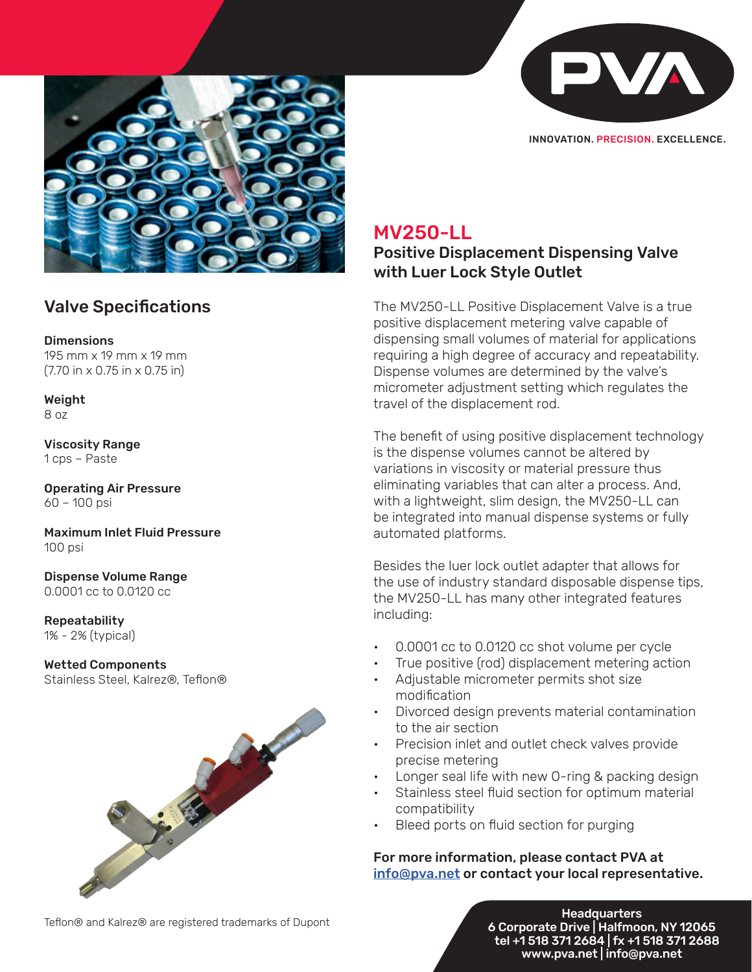

INNOVATION. PRECISION. EXCELLENCE.



### Valve Specifications

**Dimensions** 195 mm x 19 mm x 19 mm (7.70 in x 0.75 in x 0.75 in)

Weight 8 oz

Viscosity Range 1 cps – Paste

Operating Air Pressure 60 – 100 psi

Maximum Inlet Fluid Pressure 100 psi

Dispense Volume Range 0.0001 cc to 0.0120 cc

Repeatability 1% - 2% (typical)

#### Wetted Components Stainless Steel, Kalrez®, Teflon®



## MV250-LL

Positive Displacement Dispensing Valve with Luer Lock Style Outlet

The MV250-LL Positive Displacement Valve is a true positive displacement metering valve capable of dispensing small volumes of material for applications requiring a high degree of accuracy and repeatability. Dispense volumes are determined by the valve's micrometer adjustment setting which regulates the travel of the displacement rod.

The benefit of using positive displacement technology is the dispense volumes cannot be altered by variations in viscosity or material pressure thus eliminating variables that can alter a process. And, with a lightweight, slim design, the MV250-LL can be integrated into manual dispense systems or fully automated platforms.

Besides the luer lock outlet adapter that allows for the use of industry standard disposable dispense tips, the MV250-LL has many other integrated features including:

- 0.0001 cc to 0.0120 cc shot volume per cycle
- True positive (rod) displacement metering action
- Adjustable micrometer permits shot size modification
- Divorced design prevents material contamination to the air section
- Precision inlet and outlet check valves provide precise metering
- Longer seal life with new O-ring & packing design
- Stainless steel fluid section for optimum material compatibility
- Bleed ports on fluid section for purging

### For more information, please contact PVA at info@pva.net or contact your local representative.

Teflon® and Kalrez® are registered trademarks of Dupont

o Corporate Drive | Halfmoon, tel +1 518 371 2684 | fx +1 518 371 . **Headquarters** 6 Corporate Drive | Halfmoon, NY 12065 tel +1 518 371 2684 | fx +1 518 371 2688 www.pva.net | info@pva.net